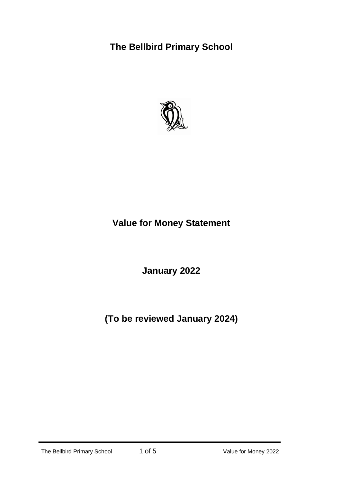## **The Bellbird Primary School**



# **Value for Money Statement**

**January 2022**

**(To be reviewed January 2024)**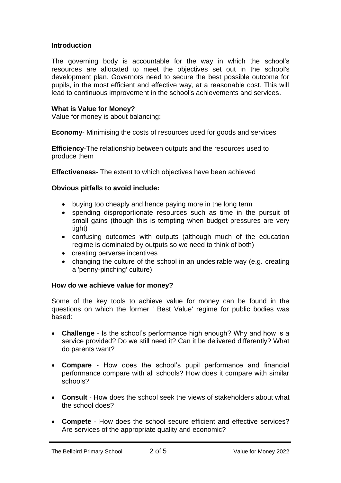## **Introduction**

The governing body is accountable for the way in which the school's resources are allocated to meet the objectives set out in the school's development plan. Governors need to secure the best possible outcome for pupils, in the most efficient and effective way, at a reasonable cost. This will lead to continuous improvement in the school's achievements and services.

#### **What is Value for Money?**

Value for money is about balancing:

**Economy**- Minimising the costs of resources used for goods and services

**Efficiency**-The relationship between outputs and the resources used to produce them

**Effectiveness**- The extent to which objectives have been achieved

#### **Obvious pitfalls to avoid include:**

- buying too cheaply and hence paying more in the long term
- spending disproportionate resources such as time in the pursuit of small gains (though this is tempting when budget pressures are very tight)
- confusing outcomes with outputs (although much of the education regime is dominated by outputs so we need to think of both)
- creating perverse incentives
- changing the culture of the school in an undesirable way (e.g. creating a 'penny-pinching' culture)

#### **How do we achieve value for money?**

Some of the key tools to achieve value for money can be found in the questions on which the former ' Best Value' regime for public bodies was based:

- **Challenge**  Is the school's performance high enough? Why and how is a service provided? Do we still need it? Can it be delivered differently? What do parents want?
- **Compare**  How does the school's pupil performance and financial performance compare with all schools? How does it compare with similar schools?
- **Consult**  How does the school seek the views of stakeholders about what the school does?
- **Compete**  How does the school secure efficient and effective services? Are services of the appropriate quality and economic?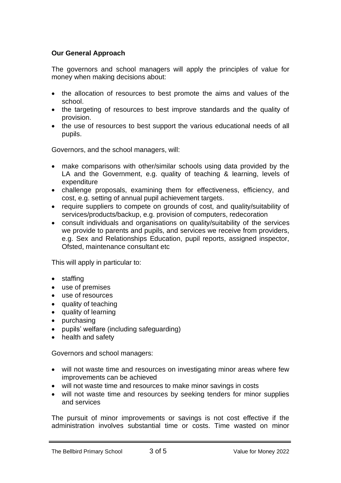## **Our General Approach**

The governors and school managers will apply the principles of value for money when making decisions about:

- the allocation of resources to best promote the aims and values of the school.
- the targeting of resources to best improve standards and the quality of provision.
- the use of resources to best support the various educational needs of all pupils.

Governors, and the school managers, will:

- make comparisons with other/similar schools using data provided by the LA and the Government, e.g. quality of teaching & learning, levels of expenditure
- challenge proposals, examining them for effectiveness, efficiency, and cost, e.g. setting of annual pupil achievement targets.
- require suppliers to compete on grounds of cost, and quality/suitability of services/products/backup, e.g. provision of computers, redecoration
- consult individuals and organisations on quality/suitability of the services we provide to parents and pupils, and services we receive from providers, e.g. Sex and Relationships Education, pupil reports, assigned inspector, Ofsted, maintenance consultant etc

This will apply in particular to:

- staffing
- use of premises
- use of resources
- quality of teaching
- quality of learning
- purchasing
- pupils' welfare (including safeguarding)
- health and safety

Governors and school managers:

- will not waste time and resources on investigating minor areas where few improvements can be achieved
- will not waste time and resources to make minor savings in costs
- will not waste time and resources by seeking tenders for minor supplies and services

The pursuit of minor improvements or savings is not cost effective if the administration involves substantial time or costs. Time wasted on minor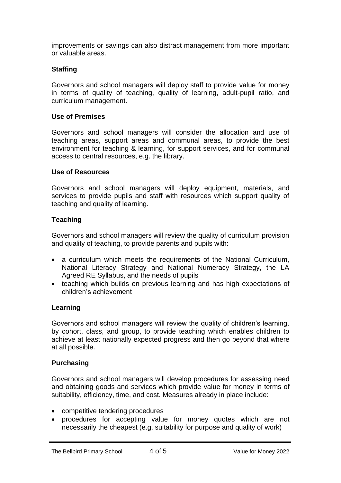improvements or savings can also distract management from more important or valuable areas.

## **Staffing**

Governors and school managers will deploy staff to provide value for money in terms of quality of teaching, quality of learning, adult-pupil ratio, and curriculum management.

#### **Use of Premises**

Governors and school managers will consider the allocation and use of teaching areas, support areas and communal areas, to provide the best environment for teaching & learning, for support services, and for communal access to central resources, e.g. the library.

#### **Use of Resources**

Governors and school managers will deploy equipment, materials, and services to provide pupils and staff with resources which support quality of teaching and quality of learning.

### **Teaching**

Governors and school managers will review the quality of curriculum provision and quality of teaching, to provide parents and pupils with:

- a curriculum which meets the requirements of the National Curriculum, National Literacy Strategy and National Numeracy Strategy, the LA Agreed RE Syllabus, and the needs of pupils
- teaching which builds on previous learning and has high expectations of children's achievement

#### **Learning**

Governors and school managers will review the quality of children's learning, by cohort, class, and group, to provide teaching which enables children to achieve at least nationally expected progress and then go beyond that where at all possible.

#### **Purchasing**

Governors and school managers will develop procedures for assessing need and obtaining goods and services which provide value for money in terms of suitability, efficiency, time, and cost. Measures already in place include:

- competitive tendering procedures
- procedures for accepting value for money quotes which are not necessarily the cheapest (e.g. suitability for purpose and quality of work)